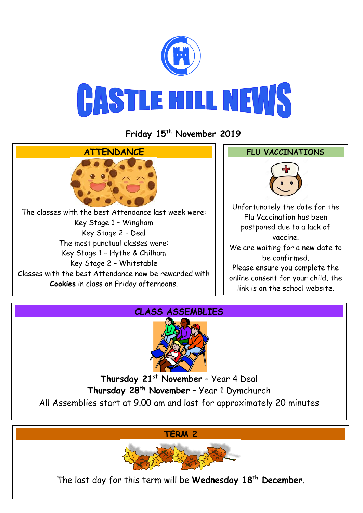

**Friday 15th November 2019**





**Thursday 21st November** – Year 4 Deal **Thursday 28th November** – Year 1 Dymchurch All Assemblies start at 9.00 am and last for approximately 20 minutes

**TERM 2**



The last day for this term will be **Wednesday 18th December**.